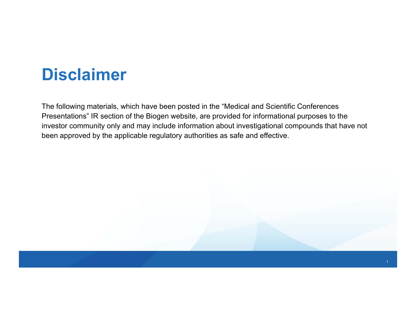### **Disclaimer**

The following materials, which have been posted in the "Medical and Scientific Conferences Presentations" IR section of the Biogen website, are provided for informational purposes to the investor community only and may include information about investigational compounds that have not been approved by the applicable regulatory authorities as safe and effective.